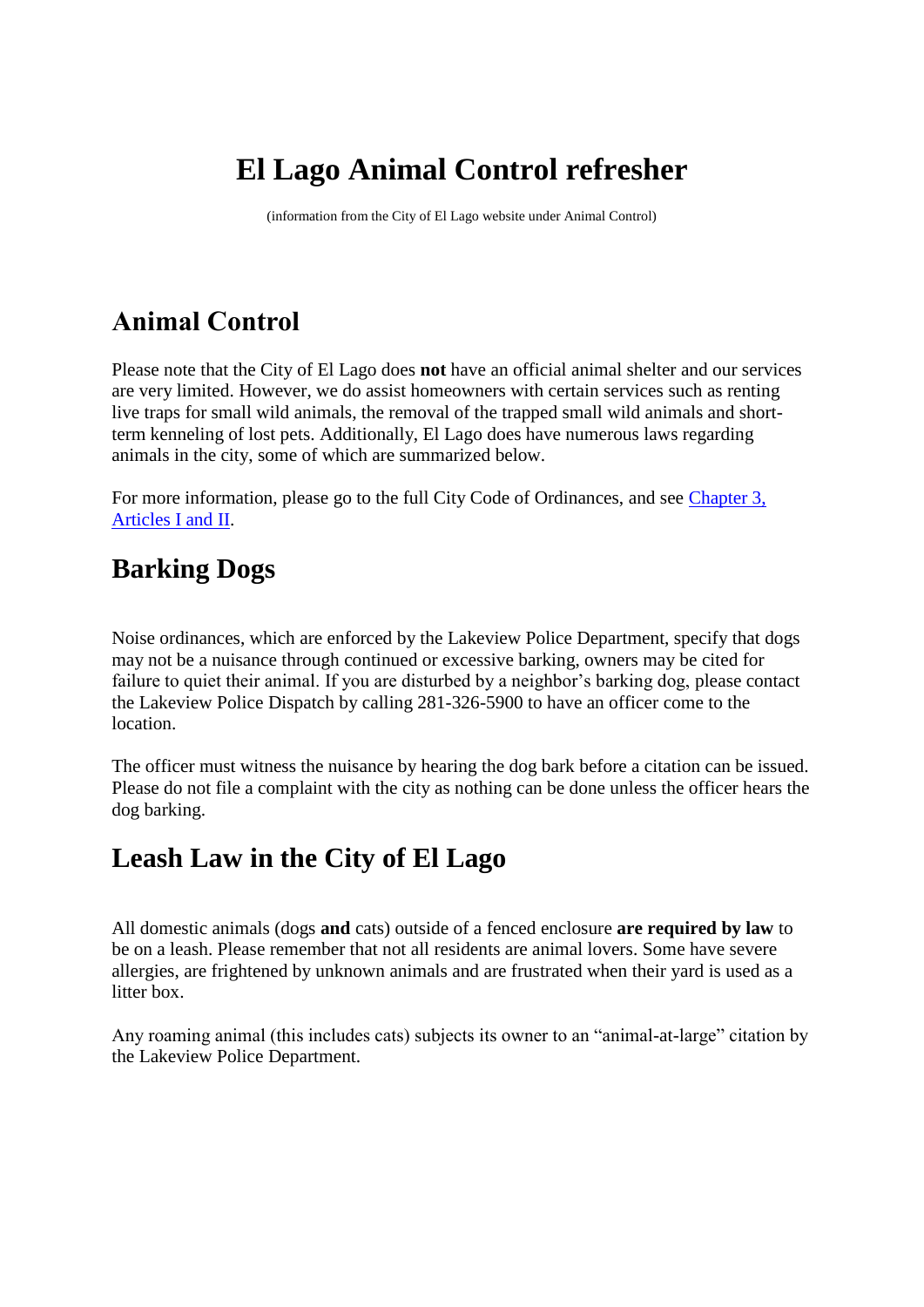# **El Lago Animal Control refresher**

(information from the City of El Lago website under Animal Control)

## **Animal Control**

Please note that the City of El Lago does **not** have an official animal shelter and our services are very limited. However, we do assist homeowners with certain services such as renting live traps for small wild animals, the removal of the trapped small wild animals and shortterm kenneling of lost pets. Additionally, El Lago does have numerous laws regarding animals in the city, some of which are summarized below.

For more information, please go to the full City Code of Ordinances, and see [Chapter 3,](https://library.municode.com/HTML/11746/level2/COOR_CH3AN.html)  [Articles I and II.](https://library.municode.com/HTML/11746/level2/COOR_CH3AN.html)

## **Barking Dogs**

Noise ordinances, which are enforced by the Lakeview Police Department, specify that dogs may not be a nuisance through continued or excessive barking, owners may be cited for failure to quiet their animal. If you are disturbed by a neighbor's barking dog, please contact the Lakeview Police Dispatch by calling 281-326-5900 to have an officer come to the location.

The officer must witness the nuisance by hearing the dog bark before a citation can be issued. Please do not file a complaint with the city as nothing can be done unless the officer hears the dog barking.

## **Leash Law in the City of El Lago**

All domestic animals (dogs **and** cats) outside of a fenced enclosure **are required by law** to be on a leash. Please remember that not all residents are animal lovers. Some have severe allergies, are frightened by unknown animals and are frustrated when their yard is used as a litter box.

Any roaming animal (this includes cats) subjects its owner to an "animal-at-large" citation by the Lakeview Police Department.